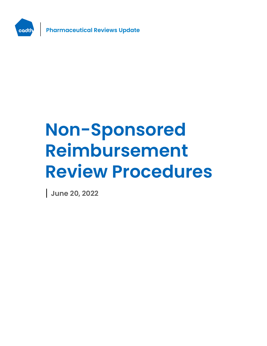

# **Non-Sponsored Reimbursement Review Procedures**

**June 20, 2022**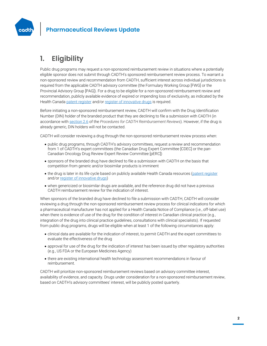

# **1. Eligibility**

Public drug programs may request a non-sponsored reimbursement review in situations where a potentially eligible sponsor does not submit through CADTH's sponsored reimbursement review process. To warrant a non-sponsored review and recommendation from CADTH, sufficient interest across individual jurisdictions is required from the applicable CADTH advisory committee (the Formulary Working Group [FWG] or the Provincial Advisory Group [PAG]). For a drug to be eligible for a non-sponsored reimbursement review and recommendation, publicly available evidence of expired or impending loss of exclusivity, as indicated by the Health Canad[a patent register](https://pr-rdb.hc-sc.gc.ca/pr-rdb/index-eng.jsp) and/o[r register of innovative drugs](https://www.canada.ca/en/health-canada/services/drugs-health-products/drug-products/applications-submissions/register-innovative-drugs.html) is required.

Before initiating a non-sponsored reimbursement review, CADTH will confirm with the Drug Identification Number (DIN) holder of the branded product that they are declining to file a submission with CADTH (in accordance wit[h section 2.6](https://www.cadth.ca/sites/default/files/Drug_Review_Process/CADTH_Drug_Reimbursement_Review_Procedures.pdf) of the *Procedures for CADTH Reimbursement Reviews*). However, if the drug is already generic, DIN holders will not be contacted.

CADTH will consider reviewing a drug through the non-sponsored reimbursement review process when:

- public drug programs, through CADTH's advisory committees, request a review and recommendation from 1 of CADTH's expert committees (the Canadian Drug Expert Committee [CDEC] or the pan-Canadian Oncology Drug Review Expert Review Committee [pERC])
- sponsors of the branded drug have declined to file a submission with CADTH on the basis that competition from generic and/or biosimilar products is imminent
- the drug is later in its life cycle based on publicly available Health Canada resources [\(patent register](https://pr-rdb.hc-sc.gc.ca/pr-rdb/index-eng.jsp) and/or [register of innovative drugs\)](https://www.canada.ca/en/health-canada/services/drugs-health-products/drug-products/applications-submissions/register-innovative-drugs.html)
- when genericized or biosimilar drugs are available, and the reference drug did not have a previous CADTH reimbursement review for the indication of interest.

When sponsors of the branded drug have declined to file a submission with CADTH, CADTH will consider reviewing a drug through the non-sponsored reimbursement review process for clinical indications for which a pharmaceutical manufacturer has not applied for a Health Canada Notice of Compliance (i.e., off-label use) when there is evidence of use of the drug for the condition of interest in Canadian clinical practice (e.g., integration of the drug into clinical practice guidelines, consultations with clinical specialists). If requested from public drug programs, drugs will be eligible when at least 1 of the following circumstances apply:

- clinical data are available for the indication of interest, to permit CADTH and the expert committees to evaluate the effectiveness of the drug
- approval for use of the drug for the indication of interest has been issued by other regulatory authorities (e.g., US FDA or the European Medicines Agency)
- there are existing international health technology assessment recommendations in favour of reimbursement.

CADTH will prioritize non-sponsored reimbursement reviews based on advisory committee interest, availability of evidence, and capacity. Drugs under consideration for a non-sponsored reimbursement review, based on CADTH's advisory committees' interest, will be publicly posted quarterly.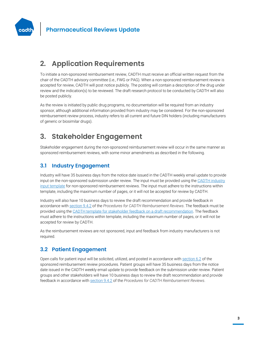

# **2. Application Requirements**

To initiate a non-sponsored reimbursement review, CADTH must receive an official written request from the chair of the CADTH advisory committee (i.e., FWG or PAG). When a non-sponsored reimbursement review is accepted for review, CADTH will post notice publicly. The posting will contain a description of the drug under review and the indication(s) to be reviewed. The draft research protocol to be conducted by CADTH will also be posted publicly.

As the review is initiated by public drug programs, no documentation will be required from an industry sponsor, although additional information provided from industry may be considered. For the non-sponsored reimbursement review process, industry refers to all current and future DIN holders (including manufacturers of generic or biosimilar drugs).

# **3. Stakeholder Engagement**

Stakeholder engagement during the non-sponsored reimbursement review will occur in the same manner as sponsored reimbursement reviews, with some minor amendments as described in the following.

#### **3.1 Industry Engagement**

Industry will have 35 business days from the notice date issued in the CADTH weekly email update to provide input on the non-sponsored submission under review. The input must be provided using the CADTH industry input template [for non-sponsored reimbursement reviews.](https://www.cadth.ca/sites/default/files/Drug_Review_Process/CADTH_Industry_Input_Template.docx) The input must adhere to the instructions within template, including the maximum number of pages, or it will not be accepted for review by CADTH.

Industry will also have 10 business days to review the draft recommendation and provide feedback in accordance wit[h section 9.4.2](https://www.cadth.ca/sites/default/files/Drug_Review_Process/CADTH_Drug_Reimbursement_Review_Procedures.pdf) of the *Procedures for CADTH Reimbursement Reviews*. The feedback must be provided using the [CADTH template for stakeholder feedback on a draft recommendation.](https://www.cadth.ca/sites/default/files/Drug_Review_Process/CADTH_Feedback_Draft_Recommendation_Template.docx) The feedback must adhere to the instructions within template, including the maximum number of pages, or it will not be accepted for review by CADTH.

As the reimbursement reviews are not sponsored, input and feedback from industry manufacturers is not required.

#### **3.2 Patient Engagement**

Open calls for patient input will be solicited, utilized, and posted in accordance wit[h section 6.2](https://www.cadth.ca/sites/default/files/Drug_Review_Process/CADTH_Drug_Reimbursement_Review_Procedures.pdf) of the sponsored reimbursement review procedures. Patient groups will have 35 business days from the notice date issued in the CADTH weekly email update to provide feedback on the submission under review. Patient groups and other stakeholders will have 10 business days to review the draft recommendation and provide feedback in accordance with [section 9.4.2](https://www.cadth.ca/sites/default/files/Drug_Review_Process/CADTH_Drug_Reimbursement_Review_Procedures.pdf) of the *Procedures for CADTH Reimbursement Reviews*.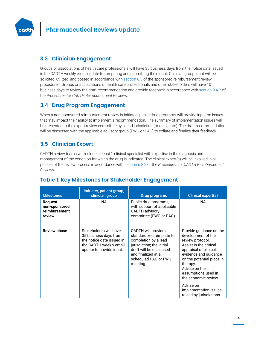

#### **3.3 Clinician Engagement**

Groups or associations of health care professionals will have 35 business days from the notice date issued in the CADTH weekly email update for preparing and submitting their input. Clinician group input will be solicited, utilized, and posted in accordance wit[h section 6.3](https://www.cadth.ca/sites/default/files/Drug_Review_Process/CADTH_Drug_Reimbursement_Review_Procedures.pdf) of the sponsored reimbursement review procedures. Groups or associations of health care professionals and other stakeholders will have 10 business days to review the draft recommendation and provide feedback in accordance with [section 9.4.2](https://www.cadth.ca/sites/default/files/Drug_Review_Process/CADTH_Drug_Reimbursement_Review_Procedures.pdf) of the *Procedures for CADTH Reimbursement Reviews*.

#### **3.4 Drug Program Engagement**

When a non-sponsored reimbursement review is initiated, public drug programs will provide input on issues that may impact their ability to implement a recommendation. The summary of implementation issues will be presented to the expert review committee by a lead jurisdiction (or designate). The draft recommendation will be discussed with the applicable advisory group (FWG or PAG) to collate and finalize their feedback.

## **3.5 Clinician Expert**

CADTH review teams will include at least 1 clinical specialist with expertise in the diagnosis and management of the condition for which the drug is indicated. The clinical expert(s) will be involved in all phases of the review process in accordance wit[h section 6.3.2](https://www.cadth.ca/sites/default/files/Drug_Review_Process/CADTH_Drug_Reimbursement_Review_Procedures.pdf) of the *Procedures for CADTH Reimbursement Reviews*.

| <b>Milestones</b>                                          | Industry, patient group,<br>clinician group                                                                                        | Drug programs                                                                                                                                                                               | Clinical expert(s)                                                                                                                                                                                                                                                                                                       |
|------------------------------------------------------------|------------------------------------------------------------------------------------------------------------------------------------|---------------------------------------------------------------------------------------------------------------------------------------------------------------------------------------------|--------------------------------------------------------------------------------------------------------------------------------------------------------------------------------------------------------------------------------------------------------------------------------------------------------------------------|
| <b>Request</b><br>non-sponsored<br>reimbursement<br>review | NA.                                                                                                                                | Public drug programs,<br>with support of applicable<br><b>CADTH</b> advisory<br>committee (FWG or PAG).                                                                                     | <b>NA</b>                                                                                                                                                                                                                                                                                                                |
| <b>Review phase</b>                                        | Stakeholders will have<br>35 business days from<br>the notice date issued in<br>the CADTH weekly email<br>update to provide input. | CADTH will provide a<br>standardized template for<br>completion by a lead<br>jurisdiction; the initial<br>draft will be discussed<br>and finalized at a<br>scheduled PAG or FWG<br>meeting. | Provide guidance on the<br>development of the<br>review protocol.<br>Assist in the critical<br>appraisal of clinical<br>evidence and guidance<br>on the potential place in<br>therapy.<br>Advise on the<br>assumptions used in<br>the economic review.<br>Advise on<br>implementation issues<br>raised by jurisdictions. |

#### **Table 1: Key Milestones for Stakeholder Engagement**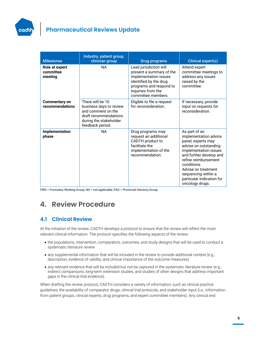

| <b>Milestones</b>                       | Industry, patient group,<br>clinician group                                                                                              | <b>Drug programs</b>                                                                                                                                                         | <b>Clinical expert(s)</b>                                                                                                                                                                                                                                                      |
|-----------------------------------------|------------------------------------------------------------------------------------------------------------------------------------------|------------------------------------------------------------------------------------------------------------------------------------------------------------------------------|--------------------------------------------------------------------------------------------------------------------------------------------------------------------------------------------------------------------------------------------------------------------------------|
| Role at expert<br>committee<br>meeting  | NA                                                                                                                                       | Lead jurisdiction will<br>present a summary of the<br>implementation issues<br>identified by the drug<br>programs and respond to<br>inquiries from the<br>committee members. | Attend expert<br>committee meetings to<br>address any issues<br>raised by the<br>committee.                                                                                                                                                                                    |
| <b>Commentary on</b><br>recommendations | There will be 10<br>business days to review<br>and comment on the<br>draft recommendations<br>during the stakeholder<br>feedback period. | Eligible to file a request<br>for reconsideration.                                                                                                                           | If necessary, provide<br>input on requests for<br>reconsideration.                                                                                                                                                                                                             |
| Implementation<br>phase                 | <b>NA</b>                                                                                                                                | Drug programs may<br>request an additional<br>CADTH product to<br>facilitate the<br>implementation of the<br>recommendation.                                                 | As part of an<br>implementation advice<br>panel, experts may<br>advise on outstanding<br>implementation issues<br>and further develop and<br>refine reimbursement<br>conditions.<br>Advise on treatment<br>sequencing within a<br>particular indication for<br>oncology drugs. |

FWG = Formulary Working Group; NA = not applicable; PAG = Provincial Advisory Group.

# **4. Review Procedure**

#### **4.1 Clinical Review**

At the initiation of the review, CADTH develops a protocol to ensure that the review will reflect the most relevant clinical information. The protocol specifies the following aspects of the review:

- the populations, intervention, comparators, outcomes, and study designs that will be used to conduct a systematic literature review
- any supplemental information that will be included in the review to provide additional context (e.g., description, evidence of validity, and clinical importance of the outcome measures)
- any relevant evidence that will be included but not be captured in the systematic literature review (e.g., indirect comparisons, long-term extension studies, and studies of other designs that address important gaps in the clinical trial evidence).

When drafting the review protocol, CADTH considers a variety of information, such as clinical practice guidelines, the availability of comparator drugs, clinical trial protocols, and stakeholder input (i.e., information from patient groups, clinical experts, drug programs, and expert committee members). Any clinical end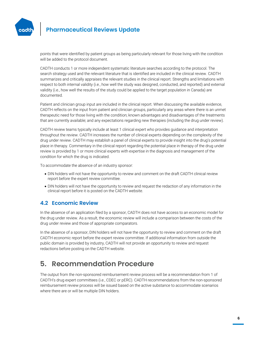

points that were identified by patient groups as being particularly relevant for those living with the condition will be added to the protocol document.

CADTH conducts 1 or more independent systematic literature searches according to the protocol. The search strategy used and the relevant literature that is identified are included in the clinical review. CADTH summarizes and critically appraises the relevant studies in the clinical report. Strengths and limitations with respect to both internal validity (i.e., how well the study was designed, conducted, and reported) and external validity (i.e., how well the results of the study could be applied to the target population in Canada) are documented.

Patient and clinician group input are included in the clinical report. When discussing the available evidence, CADTH reflects on the input from patient and clinician groups, particularly any areas where there is an unmet therapeutic need for those living with the condition; known advantages and disadvantages of the treatments that are currently available; and any expectations regarding new therapies (including the drug under review).

CADTH review teams typically include at least 1 clinical expert who provides guidance and interpretation throughout the review. CADTH increases the number of clinical experts depending on the complexity of the drug under review. CADTH may establish a panel of clinical experts to provide insight into the drug's potential place in therapy. Commentary in the clinical report regarding the potential place in therapy of the drug under review is provided by 1 or more clinical experts with expertise in the diagnosis and management of the condition for which the drug is indicated.

To accommodate the absence of an industry sponsor:

- DIN holders will not have the opportunity to review and comment on the draft CADTH clinical review report before the expert review committee.
- DIN holders will not have the opportunity to review and request the redaction of any information in the clinical report before it is posted on the CADTH website.

#### **4.2 Economic Review**

In the absence of an application filed by a sponsor, CADTH does not have access to an economic model for the drug under review. As a result, the economic review will include a comparison between the costs of the drug under review and those of appropriate comparators.

In the absence of a sponsor, DIN holders will not have the opportunity to review and comment on the draft CADTH economic report before the expert review committee. If additional information from outside the public domain is provided by industry, CADTH will not provide an opportunity to review and request redactions before posting on the CADTH website.

# **5. Recommendation Procedure**

The output from the non-sponsored reimbursement review process will be a recommendation from 1 of CADTH's drug expert committees (i.e., CDEC or pERC). CADTH recommendations from the non-sponsored reimbursement review process will be issued based on the active substance to accommodate scenarios where there are or will be multiple DIN holders.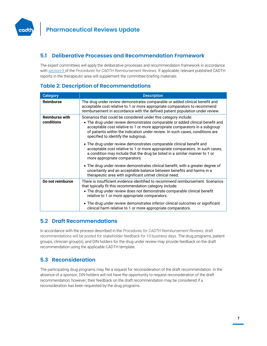

#### **5.1 Deliberative Processes and Recommendation Framework**

The expert committees will apply the deliberative processes and recommendation framework in accordance with [section 9](https://www.cadth.ca/sites/default/files/Drug_Review_Process/CADTH_Drug_Reimbursement_Review_Procedures.pdf) of the *Procedures for CADTH Reimbursement Reviews*. If applicable, relevant published CADTH reports in the therapeutic area will supplement the committee briefing materials.

#### **Table 2: Description of Recommendations**

| <b>Category</b>                     | <b>Description</b>                                                                                                                                                                                                                                                                                                                                      |  |  |
|-------------------------------------|---------------------------------------------------------------------------------------------------------------------------------------------------------------------------------------------------------------------------------------------------------------------------------------------------------------------------------------------------------|--|--|
| <b>Reimburse</b>                    | The drug under review demonstrates comparable or added clinical benefit and<br>acceptable cost relative to 1 or more appropriate comparators to recommend<br>reimbursement in accordance with the defined patient population under review.                                                                                                              |  |  |
| <b>Reimburse with</b><br>conditions | Scenarios that could be considered under this category include:<br>• The drug under review demonstrates comparable or added clinical benefit and<br>acceptable cost relative to 1 or more appropriate comparators in a subgroup<br>of patients within the indication under review. In such cases, conditions are<br>specified to identify the subgroup. |  |  |
|                                     | • The drug under review demonstrates comparable clinical benefit and<br>acceptable cost relative to 1 or more appropriate comparators. In such cases,<br>a condition may include that the drug be listed in a similar manner to 1 or<br>more appropriate comparators.                                                                                   |  |  |
|                                     | • The drug under review demonstrates clinical benefit, with a greater degree of<br>uncertainty and an acceptable balance between benefits and harms in a<br>therapeutic area with significant unmet clinical need.                                                                                                                                      |  |  |
| Do not reimburse                    | There is insufficient evidence identified to recommend reimbursement. Scenarios<br>that typically fit this recommendation category include:<br>• The drug under review does not demonstrate comparable clinical benefit<br>relative to 1 or more appropriate comparators.                                                                               |  |  |
|                                     | • The drug under review demonstrates inferior clinical outcomes or significant<br>clinical harm relative to 1 or more appropriate comparators.                                                                                                                                                                                                          |  |  |

#### **5.2 Draft Recommendations**

In accordance with the process described in the *Procedures for CADTH Reimbursement Reviews*, draft recommendations will be posted for stakeholder feedback for 10 business days. The drug programs, patient groups, clinician group(s), and DIN holders for the drug under review may provide feedback on the draft recommendation using the applicable CADTH template.

#### **5.3 Reconsideration**

The participating drug programs may file a request for reconsideration of the draft recommendation. In the absence of a sponsor, DIN holders will not have the opportunity to request reconsideration of the draft recommendation; however, their feedback on the draft recommendation may be considered if a reconsideration has been requested by the drug programs.